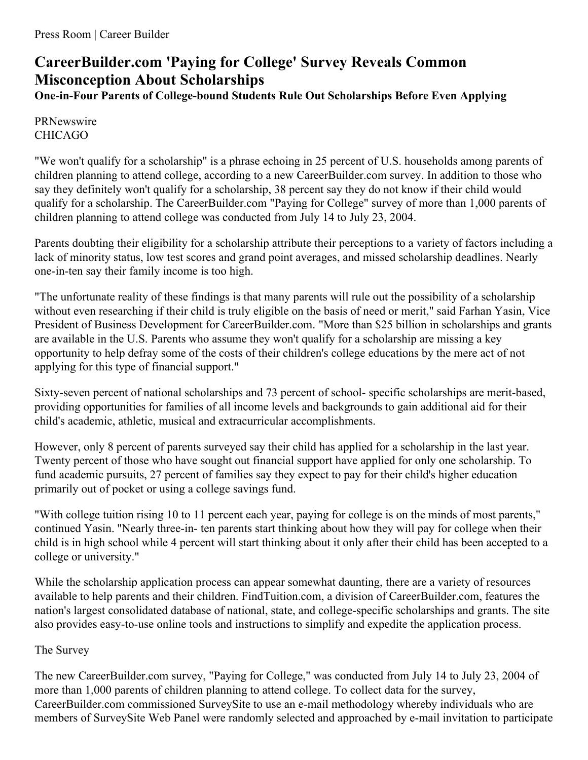## **CareerBuilder.com 'Paying for College' Survey Reveals Common Misconception About Scholarships**

**One-in-Four Parents of College-bound Students Rule Out Scholarships Before Even Applying**

## PRNewswire CHICAGO

"We won't qualify for a scholarship" is a phrase echoing in 25 percent of U.S. households among parents of children planning to attend college, according to a new CareerBuilder.com survey. In addition to those who say they definitely won't qualify for a scholarship, 38 percent say they do not know if their child would qualify for a scholarship. The CareerBuilder.com "Paying for College" survey of more than 1,000 parents of children planning to attend college was conducted from July 14 to July 23, 2004.

Parents doubting their eligibility for a scholarship attribute their perceptions to a variety of factors including a lack of minority status, low test scores and grand point averages, and missed scholarship deadlines. Nearly one-in-ten say their family income is too high.

"The unfortunate reality of these findings is that many parents will rule out the possibility of a scholarship without even researching if their child is truly eligible on the basis of need or merit," said Farhan Yasin, Vice President of Business Development for CareerBuilder.com. "More than \$25 billion in scholarships and grants are available in the U.S. Parents who assume they won't qualify for a scholarship are missing a key opportunity to help defray some of the costs of their children's college educations by the mere act of not applying for this type of financial support."

Sixty-seven percent of national scholarships and 73 percent of school- specific scholarships are merit-based, providing opportunities for families of all income levels and backgrounds to gain additional aid for their child's academic, athletic, musical and extracurricular accomplishments.

However, only 8 percent of parents surveyed say their child has applied for a scholarship in the last year. Twenty percent of those who have sought out financial support have applied for only one scholarship. To fund academic pursuits, 27 percent of families say they expect to pay for their child's higher education primarily out of pocket or using a college savings fund.

"With college tuition rising 10 to 11 percent each year, paying for college is on the minds of most parents," continued Yasin. "Nearly three-in- ten parents start thinking about how they will pay for college when their child is in high school while 4 percent will start thinking about it only after their child has been accepted to a college or university."

While the scholarship application process can appear somewhat daunting, there are a variety of resources available to help parents and their children. FindTuition.com, a division of CareerBuilder.com, features the nation's largest consolidated database of national, state, and college-specific scholarships and grants. The site also provides easy-to-use online tools and instructions to simplify and expedite the application process.

## The Survey

The new CareerBuilder.com survey, "Paying for College," was conducted from July 14 to July 23, 2004 of more than 1,000 parents of children planning to attend college. To collect data for the survey, CareerBuilder.com commissioned SurveySite to use an e-mail methodology whereby individuals who are members of SurveySite Web Panel were randomly selected and approached by e-mail invitation to participate